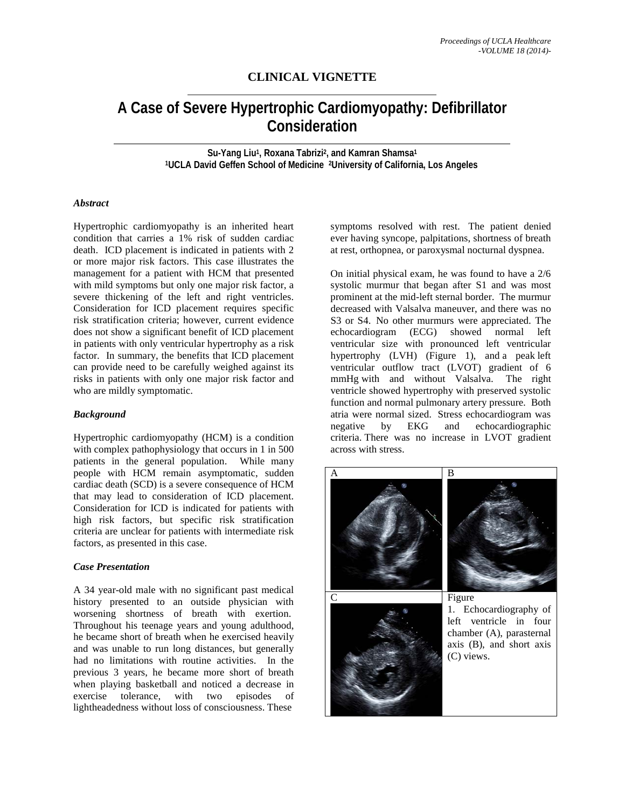# **CLINICAL VIGNETTE**

# **A Case of Severe Hypertrophic Cardiomyopathy: Defibrillator Consideration**

**Su-Yang Liu1, Roxana Tabrizi2, and Kamran Shamsa1 1UCLA David Geffen School of Medicine 2University of California, Los Angeles**

## *Abstract*

Hypertrophic cardiomyopathy is an inherited heart condition that carries a 1% risk of sudden cardiac death. ICD placement is indicated in patients with 2 or more major risk factors. This case illustrates the management for a patient with HCM that presented with mild symptoms but only one major risk factor, a severe thickening of the left and right ventricles. Consideration for ICD placement requires specific risk stratification criteria; however, current evidence does not show a significant benefit of ICD placement in patients with only ventricular hypertrophy as a risk factor. In summary, the benefits that ICD placement can provide need to be carefully weighed against its risks in patients with only one major risk factor and who are mildly symptomatic.

#### *Background*

Hypertrophic cardiomyopathy (HCM) is a condition with complex pathophysiology that occurs in 1 in 500 patients in the general population. While many people with HCM remain asymptomatic, sudden cardiac death (SCD) is a severe consequence of HCM that may lead to consideration of ICD placement. Consideration for ICD is indicated for patients with high risk factors, but specific risk stratification criteria are unclear for patients with intermediate risk factors, as presented in this case.

## *Case Presentation*

A 34 year-old male with no significant past medical history presented to an outside physician with worsening shortness of breath with exertion. Throughout his teenage years and young adulthood, he became short of breath when he exercised heavily and was unable to run long distances, but generally had no limitations with routine activities. In the previous 3 years, he became more short of breath when playing basketball and noticed a decrease in exercise tolerance, with two episodes of lightheadedness without loss of consciousness. These

symptoms resolved with rest. The patient denied ever having syncope, palpitations, shortness of breath at rest, orthopnea, or paroxysmal nocturnal dyspnea.

On initial physical exam, he was found to have a 2/6 systolic murmur that began after S1 and was most prominent at the mid-left sternal border. The murmur decreased with Valsalva maneuver, and there was no S3 or S4. No other murmurs were appreciated. The echocardiogram (ECG) showed normal left ventricular size with pronounced left ventricular hypertrophy (LVH) (Figure 1), and a peak left ventricular outflow tract (LVOT) gradient of 6 mmHg with and without Valsalva. The right ventricle showed hypertrophy with preserved systolic function and normal pulmonary artery pressure. Both atria were normal sized. Stress echocardiogram was<br>negative by EKG and echocardiographic echocardiographic criteria. There was no increase in LVOT gradient across with stress.

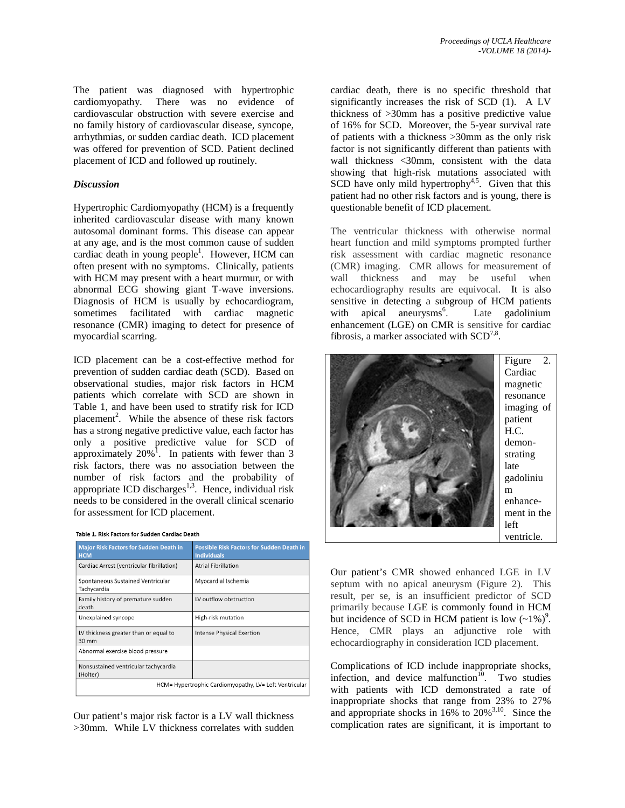The patient was diagnosed with hypertrophic cardiomyopathy. There was no evidence of cardiovascular obstruction with severe exercise and no family history of cardiovascular disease, syncope, arrhythmias, or sudden cardiac death. ICD placement was offered for prevention of SCD. Patient declined placement of ICD and followed up routinely.

# *Discussion*

Hypertrophic Cardiomyopathy (HCM) is a frequently inherited cardiovascular disease with many known autosomal dominant forms. This disease can appear at any age, and is the most common cause of sudden cardiac death in young people<sup>1</sup>. However, HCM can often present with no symptoms. Clinically, patients with HCM may present with a heart murmur, or with abnormal ECG showing giant T-wave inversions. Diagnosis of HCM is usually by echocardiogram, sometimes facilitated with cardiac magnetic resonance (CMR) imaging to detect for presence of myocardial scarring.

ICD placement can be a cost-effective method for prevention of sudden cardiac death (SCD). Based on observational studies, major risk factors in HCM patients which correlate with SCD are shown in Table 1, and have been used to stratify risk for ICD placement<sup>2</sup>. While the absence of these risk factors has a strong negative predictive value, each factor has only a positive predictive value for SCD of approximately  $20\%$ <sup>1</sup>. In patients with fewer than 3 risk factors, there was no association between the number of risk factors and the probability of appropriate ICD discharges<sup>1,3</sup>. Hence, individual risk needs to be considered in the overall clinical scenario for assessment for ICD placement.

| <b>Major Risk Factors for Sudden Death in</b><br><b>HCM</b> | <b>Possible Risk Factors for Sudden Death in</b><br><b>Individuals</b> |
|-------------------------------------------------------------|------------------------------------------------------------------------|
| Cardiac Arrest (ventricular fibrillation)                   | <b>Atrial Fibrillation</b>                                             |
| Spontaneous Sustained Ventricular<br>Tachycardia            | Myocardial Ischemia                                                    |
| Family history of premature sudden<br>death                 | LV outflow obstruction                                                 |
| Unexplained syncope                                         | High-risk mutation                                                     |
| LV thickness greater than or equal to<br>30 mm              | <b>Intense Physical Exertion</b>                                       |
| Abnormal exercise blood pressure                            |                                                                        |
| Nonsustained ventricular tachycardia<br>(Holter)            |                                                                        |
| HCM= Hypertrophic Cardiomyopathy, LV= Left Ventricular      |                                                                        |

Our patient's major risk factor is a LV wall thickness >30mm. While LV thickness correlates with sudden cardiac death, there is no specific threshold that significantly increases the risk of SCD (1). A LV thickness of >30mm has a positive predictive value of 16% for SCD. Moreover, the 5-year survival rate of patients with a thickness >30mm as the only risk factor is not significantly different than patients with wall thickness <30mm, consistent with the data showing that high-risk mutations associated with SCD have only mild hypertrophy<sup>4,5</sup>. Given that this patient had no other risk factors and is young, there is questionable benefit of ICD placement.

The ventricular thickness with otherwise normal heart function and mild symptoms prompted further risk assessment with cardiac magnetic resonance (CMR) imaging. CMR allows for measurement of wall thickness and may be useful when echocardiography results are equivocal. It is also sensitive in detecting a subgroup of HCM patients with apical aneurysms $<sup>6</sup>$ .</sup> . Late gadolinium enhancement (LGE) on CMR is sensitive for cardiac fibrosis, a marker associated with  $SCD^{7,8}$ .



Our patient's CMR showed enhanced LGE in LV septum with no apical aneurysm (Figure 2). This result, per se, is an insufficient predictor of SCD primarily because LGE is commonly found in HCM but incidence of SCD in HCM patient is low  $(-1\%)^9$ . Hence, CMR plays an adjunctive role with echocardiography in consideration ICD placement.

Complications of ICD include inappropriate shocks, infection, and device malfunction $10$ . Two studies with patients with ICD demonstrated a rate of inappropriate shocks that range from 23% to 27% and appropriate shocks in 16% to 20%3,10. Since the complication rates are significant, it is important to